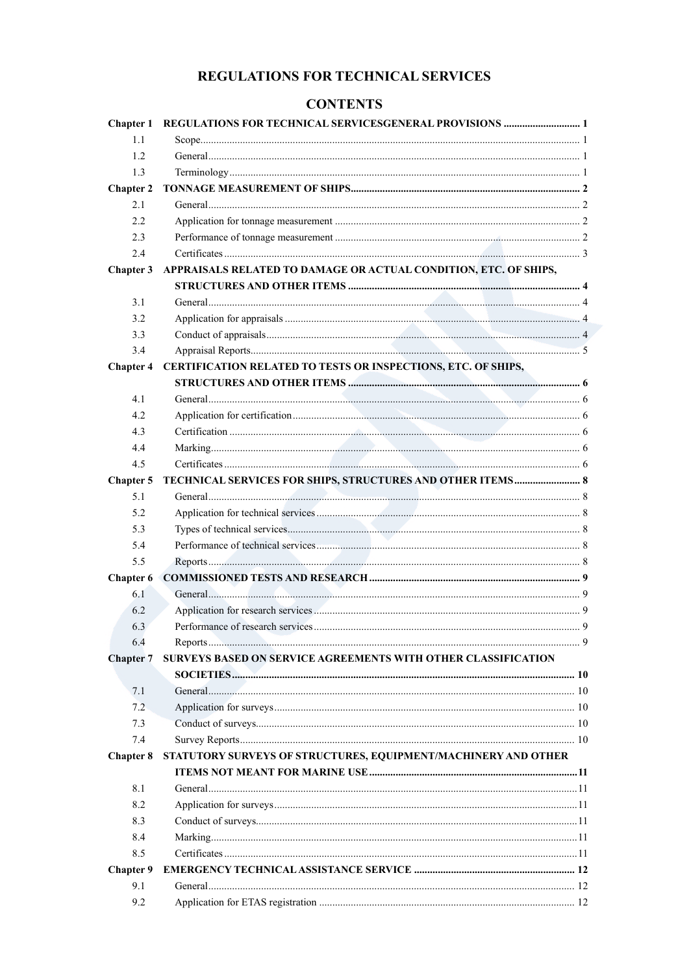# **REGULATIONS FOR TECHNICAL SERVICES**

# **CONTENTS**

| <b>Chapter 1</b> |                                                                  |  |
|------------------|------------------------------------------------------------------|--|
| 1.1              |                                                                  |  |
| 1.2              |                                                                  |  |
| 1.3              |                                                                  |  |
| <b>Chapter 2</b> |                                                                  |  |
| 2.1              |                                                                  |  |
| 2.2              |                                                                  |  |
| 2.3              |                                                                  |  |
| 2.4              |                                                                  |  |
| Chapter 3        | APPRAISALS RELATED TO DAMAGE OR ACTUAL CONDITION, ETC. OF SHIPS, |  |
|                  |                                                                  |  |
| 3.1              |                                                                  |  |
| 3.2              |                                                                  |  |
| 3.3              |                                                                  |  |
| 3.4              |                                                                  |  |
| <b>Chapter 4</b> | CERTIFICATION RELATED TO TESTS OR INSPECTIONS, ETC. OF SHIPS,    |  |
|                  |                                                                  |  |
| 4.1              |                                                                  |  |
| 4.2              |                                                                  |  |
| 4.3              |                                                                  |  |
| 4.4              |                                                                  |  |
| 4.5              |                                                                  |  |
| Chapter 5        |                                                                  |  |
| 5.1              |                                                                  |  |
| 5.2              |                                                                  |  |
| 5.3              |                                                                  |  |
| 5.4              |                                                                  |  |
| 5.5              |                                                                  |  |
| Chapter 6        |                                                                  |  |
| 6.1              |                                                                  |  |
| 6.2              |                                                                  |  |
| 6.3              |                                                                  |  |
| 6.4              |                                                                  |  |
| <b>Chapter 7</b> | SURVEYS BASED ON SERVICE AGREEMENTS WITH OTHER CLASSIFICATION    |  |
|                  |                                                                  |  |
| 7.1              |                                                                  |  |
| 7.2              |                                                                  |  |
| 7.3              |                                                                  |  |
| 7.4              |                                                                  |  |
| <b>Chapter 8</b> | STATUTORY SURVEYS OF STRUCTURES, EQUIPMENT/MACHINERY AND OTHER   |  |
|                  |                                                                  |  |
| 8.1              |                                                                  |  |
| 8.2              |                                                                  |  |
| 8.3              |                                                                  |  |
| 8.4              |                                                                  |  |
| 8.5              |                                                                  |  |
| <b>Chapter 9</b> |                                                                  |  |
| 9.1              |                                                                  |  |
| 9.2              |                                                                  |  |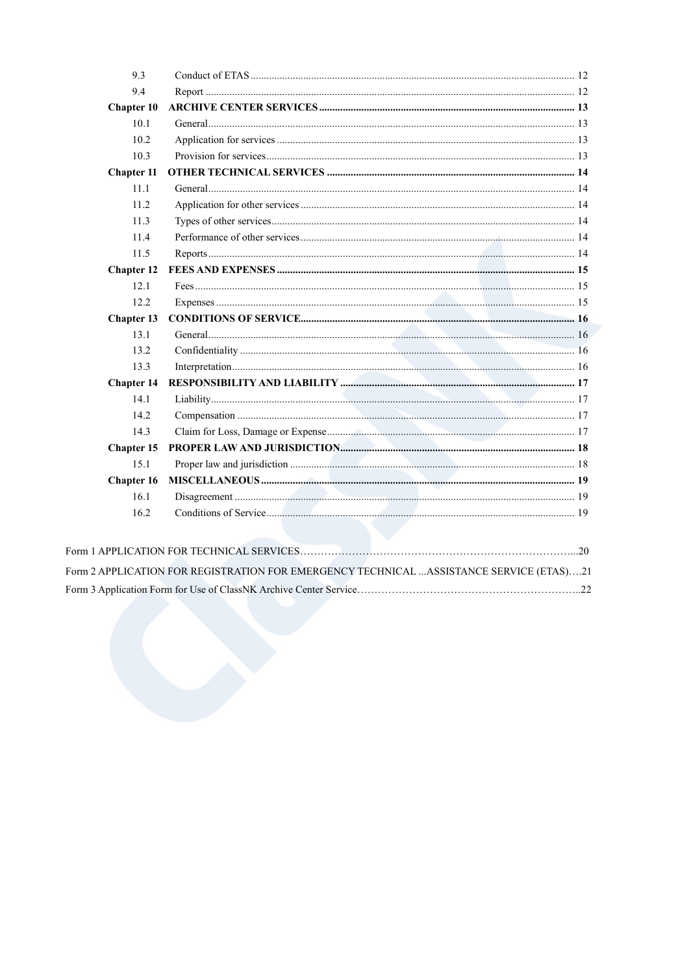| 9.3               |                                                                                          |  |
|-------------------|------------------------------------------------------------------------------------------|--|
| 9.4               |                                                                                          |  |
| Chapter 10        |                                                                                          |  |
| 10.1              |                                                                                          |  |
| 10.2              |                                                                                          |  |
| 10.3              |                                                                                          |  |
| <b>Chapter 11</b> |                                                                                          |  |
| 11.1              |                                                                                          |  |
| 11.2              |                                                                                          |  |
| 11.3              |                                                                                          |  |
| 11.4              |                                                                                          |  |
| 11.5              |                                                                                          |  |
| <b>Chapter 12</b> |                                                                                          |  |
| 12.1              |                                                                                          |  |
| 12.2              |                                                                                          |  |
| Chapter 13        |                                                                                          |  |
| 13.1              |                                                                                          |  |
| 13.2              |                                                                                          |  |
| 13.3              |                                                                                          |  |
| <b>Chapter 14</b> |                                                                                          |  |
| 14.1              |                                                                                          |  |
| 14.2              |                                                                                          |  |
| 14.3              |                                                                                          |  |
| Chapter 15        |                                                                                          |  |
| 15.1              |                                                                                          |  |
| <b>Chapter 16</b> |                                                                                          |  |
| 16.1              |                                                                                          |  |
| 16.2              |                                                                                          |  |
|                   |                                                                                          |  |
|                   |                                                                                          |  |
|                   | Form 2 APPLICATION FOR REGISTRATION FOR EMERGENCY TECHNICAL  ASSISTANCE SERVICE (ETAS)21 |  |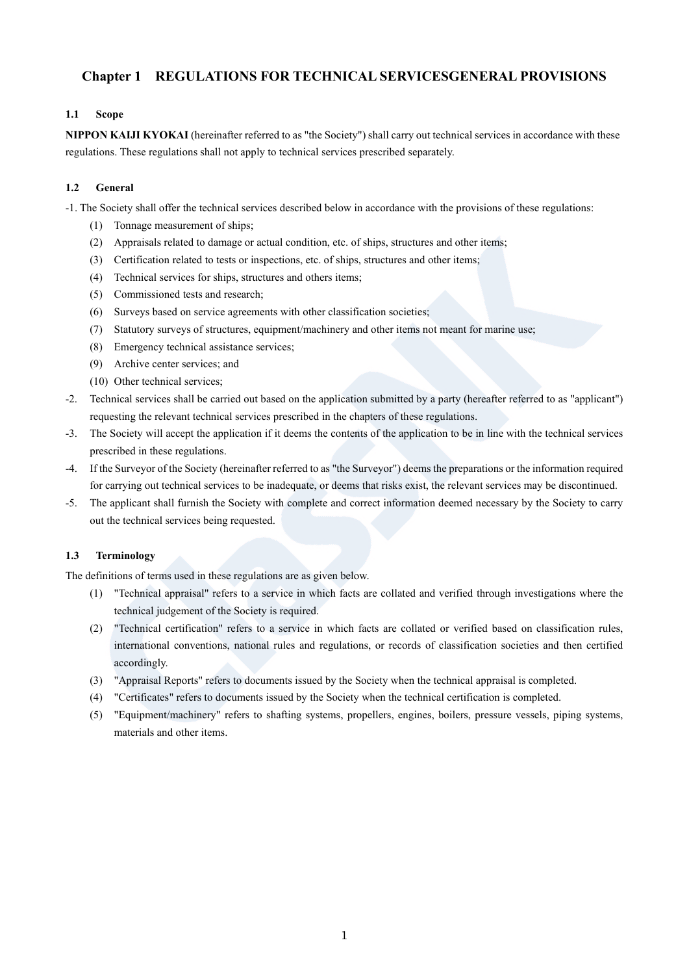## <span id="page-2-0"></span>**Chapter 1 REGULATIONS FOR TECHNICAL SERVICESGENERAL PROVISIONS**

## <span id="page-2-1"></span>**1.1 Scope**

**NIPPON KAIJI KYOKAI** (hereinafter referred to as "the Society") shall carry out technical services in accordance with these regulations. These regulations shall not apply to technical services prescribed separately.

## <span id="page-2-2"></span>**1.2 General**

-1. The Society shall offer the technical services described below in accordance with the provisions of these regulations:

- (1) Tonnage measurement of ships;
- (2) Appraisals related to damage or actual condition, etc. of ships, structures and other items;
- (3) Certification related to tests or inspections, etc. of ships, structures and other items;
- (4) Technical services for ships, structures and others items;
- (5) Commissioned tests and research;
- (6) Surveys based on service agreements with other classification societies;
- (7) Statutory surveys of structures, equipment/machinery and other items not meant for marine use;
- (8) Emergency technical assistance services;
- (9) Archive center services; and
- (10) Other technical services;
- -2. Technical services shall be carried out based on the application submitted by a party (hereafter referred to as "applicant") requesting the relevant technical services prescribed in the chapters of these regulations.
- -3. The Society will accept the application if it deems the contents of the application to be in line with the technical services prescribed in these regulations.
- -4. If the Surveyor of the Society (hereinafter referred to as "the Surveyor") deems the preparations or the information required for carrying out technical services to be inadequate, or deems that risks exist, the relevant services may be discontinued.
- -5. The applicant shall furnish the Society with complete and correct information deemed necessary by the Society to carry out the technical services being requested.

## <span id="page-2-3"></span>**1.3 Terminology**

The definitions of terms used in these regulations are as given below.

- (1) "Technical appraisal" refers to a service in which facts are collated and verified through investigations where the technical judgement of the Society is required.
- (2) "Technical certification" refers to a service in which facts are collated or verified based on classification rules, international conventions, national rules and regulations, or records of classification societies and then certified accordingly.
- (3) "Appraisal Reports" refers to documents issued by the Society when the technical appraisal is completed.
- (4) "Certificates" refers to documents issued by the Society when the technical certification is completed.
- (5) "Equipment/machinery" refers to shafting systems, propellers, engines, boilers, pressure vessels, piping systems, materials and other items.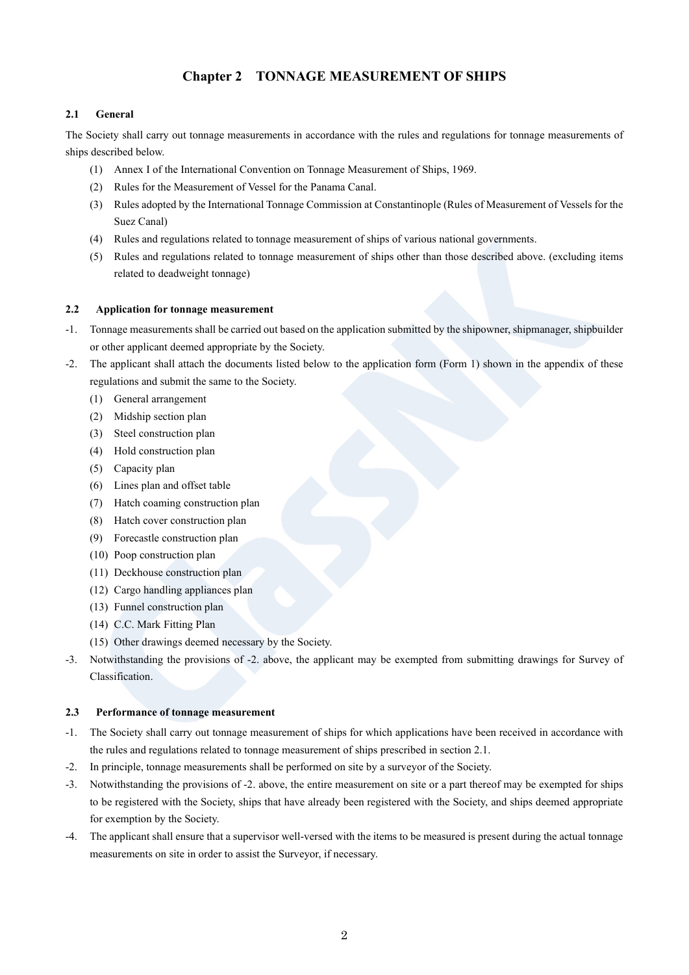## **Chapter 2 TONNAGE MEASUREMENT OF SHIPS**

## <span id="page-3-1"></span><span id="page-3-0"></span>**2.1 General**

The Society shall carry out tonnage measurements in accordance with the rules and regulations for tonnage measurements of ships described below.

- (1) Annex I of the International Convention on Tonnage Measurement of Ships, 1969.
- (2) Rules for the Measurement of Vessel for the Panama Canal.
- (3) Rules adopted by the International Tonnage Commission at Constantinople (Rules of Measurement of Vessels for the Suez Canal)
- (4) Rules and regulations related to tonnage measurement of ships of various national governments.
- (5) Rules and regulations related to tonnage measurement of ships other than those described above. (excluding items related to deadweight tonnage)

## <span id="page-3-2"></span>**2.2 Application for tonnage measurement**

- -1. Tonnage measurements shall be carried out based on the application submitted by the shipowner, shipmanager, shipbuilder or other applicant deemed appropriate by the Society.
- -2. The applicant shall attach the documents listed below to the application form (Form 1) shown in the appendix of these regulations and submit the same to the Society.
	- (1) General arrangement
	- (2) Midship section plan
	- (3) Steel construction plan
	- (4) Hold construction plan
	- (5) Capacity plan
	- (6) Lines plan and offset table
	- (7) Hatch coaming construction plan
	- (8) Hatch cover construction plan
	- (9) Forecastle construction plan
	- (10) Poop construction plan
	- (11) Deckhouse construction plan
	- (12) Cargo handling appliances plan
	- (13) Funnel construction plan
	- (14) C.C. Mark Fitting Plan
	- (15) Other drawings deemed necessary by the Society.
- -3. Notwithstanding the provisions of -2. above, the applicant may be exempted from submitting drawings for Survey of Classification.

## <span id="page-3-3"></span>**2.3 Performance of tonnage measurement**

- -1. The Society shall carry out tonnage measurement of ships for which applications have been received in accordance with the rules and regulations related to tonnage measurement of ships prescribed in section 2.1.
- -2. In principle, tonnage measurements shall be performed on site by a surveyor of the Society.
- -3. Notwithstanding the provisions of -2. above, the entire measurement on site or a part thereof may be exempted for ships to be registered with the Society, ships that have already been registered with the Society, and ships deemed appropriate for exemption by the Society.
- -4. The applicant shall ensure that a supervisor well-versed with the items to be measured is present during the actual tonnage measurements on site in order to assist the Surveyor, if necessary.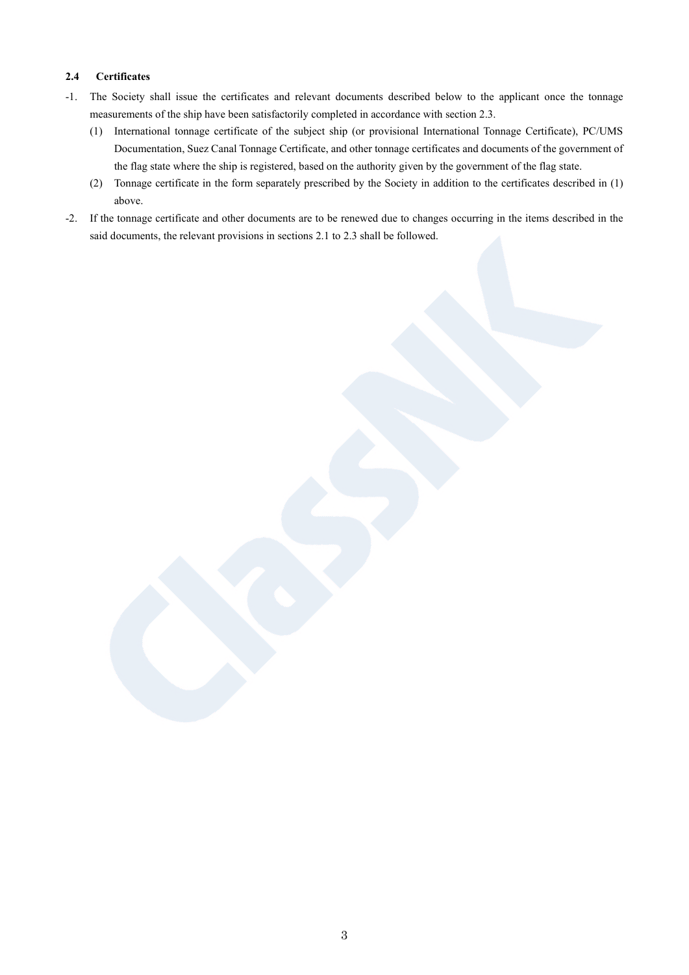## <span id="page-4-0"></span>**2.4 Certificates**

- -1. The Society shall issue the certificates and relevant documents described below to the applicant once the tonnage measurements of the ship have been satisfactorily completed in accordance with section 2.3.
	- (1) International tonnage certificate of the subject ship (or provisional International Tonnage Certificate), PC/UMS Documentation, Suez Canal Tonnage Certificate, and other tonnage certificates and documents of the government of the flag state where the ship is registered, based on the authority given by the government of the flag state.
	- (2) Tonnage certificate in the form separately prescribed by the Society in addition to the certificates described in (1) above.
- -2. If the tonnage certificate and other documents are to be renewed due to changes occurring in the items described in the said documents, the relevant provisions in sections 2.1 to 2.3 shall be followed.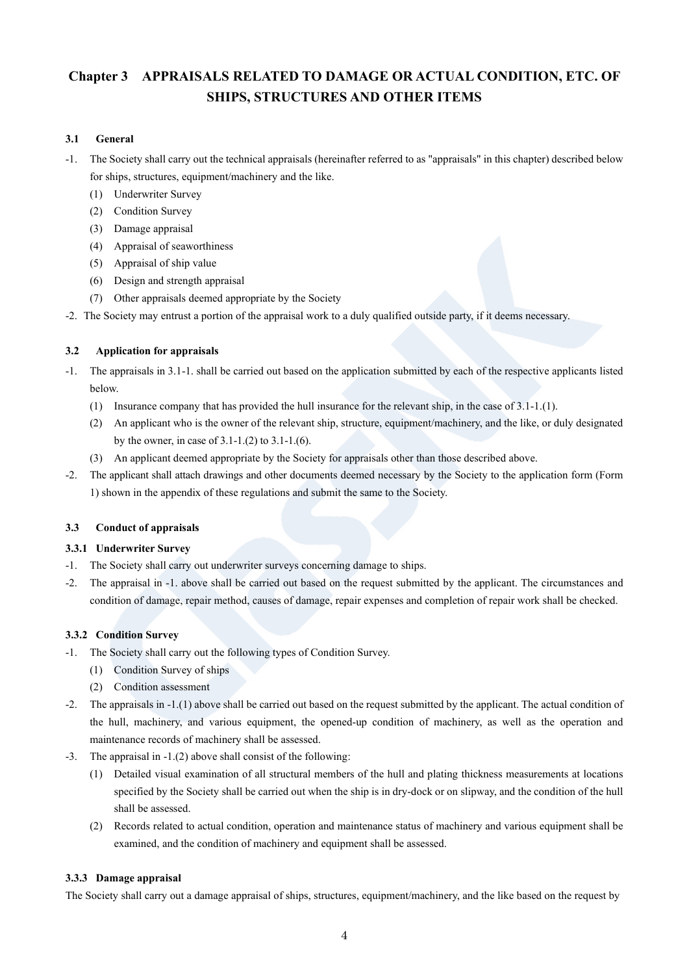# <span id="page-5-0"></span>**Chapter 3 APPRAISALS RELATED TO DAMAGE OR ACTUAL CONDITION, ETC. OF SHIPS, STRUCTURES AND OTHER ITEMS**

## <span id="page-5-1"></span>**3.1 General**

-1. The Society shall carry out the technical appraisals (hereinafter referred to as "appraisals" in this chapter) described below for ships, structures, equipment/machinery and the like.

- (1) Underwriter Survey
- (2) Condition Survey
- (3) Damage appraisal
- (4) Appraisal of seaworthiness
- (5) Appraisal of ship value
- (6) Design and strength appraisal
- (7) Other appraisals deemed appropriate by the Society
- -2. The Society may entrust a portion of the appraisal work to a duly qualified outside party, if it deems necessary.

## <span id="page-5-2"></span>**3.2 Application for appraisals**

- -1. The appraisals in 3.1-1. shall be carried out based on the application submitted by each of the respective applicants listed below.
	- (1) Insurance company that has provided the hull insurance for the relevant ship, in the case of 3.1-1.(1).
	- (2) An applicant who is the owner of the relevant ship, structure, equipment/machinery, and the like, or duly designated by the owner, in case of 3.1-1.(2) to 3.1-1.(6).
	- (3) An applicant deemed appropriate by the Society for appraisals other than those described above.
- -2. The applicant shall attach drawings and other documents deemed necessary by the Society to the application form (Form 1) shown in the appendix of these regulations and submit the same to the Society.

## <span id="page-5-3"></span>**3.3 Conduct of appraisals**

## **3.3.1 Underwriter Survey**

- -1. The Society shall carry out underwriter surveys concerning damage to ships.
- -2. The appraisal in -1. above shall be carried out based on the request submitted by the applicant. The circumstances and condition of damage, repair method, causes of damage, repair expenses and completion of repair work shall be checked.

## **3.3.2 Condition Survey**

- -1. The Society shall carry out the following types of Condition Survey.
	- (1) Condition Survey of ships
	- (2) Condition assessment
- -2. The appraisals in -1.(1) above shall be carried out based on the request submitted by the applicant. The actual condition of the hull, machinery, and various equipment, the opened-up condition of machinery, as well as the operation and maintenance records of machinery shall be assessed.
- -3. The appraisal in -1.(2) above shall consist of the following:
	- (1) Detailed visual examination of all structural members of the hull and plating thickness measurements at locations specified by the Society shall be carried out when the ship is in dry-dock or on slipway, and the condition of the hull shall be assessed.
	- (2) Records related to actual condition, operation and maintenance status of machinery and various equipment shall be examined, and the condition of machinery and equipment shall be assessed.

## **3.3.3 Damage appraisal**

The Society shall carry out a damage appraisal of ships, structures, equipment/machinery, and the like based on the request by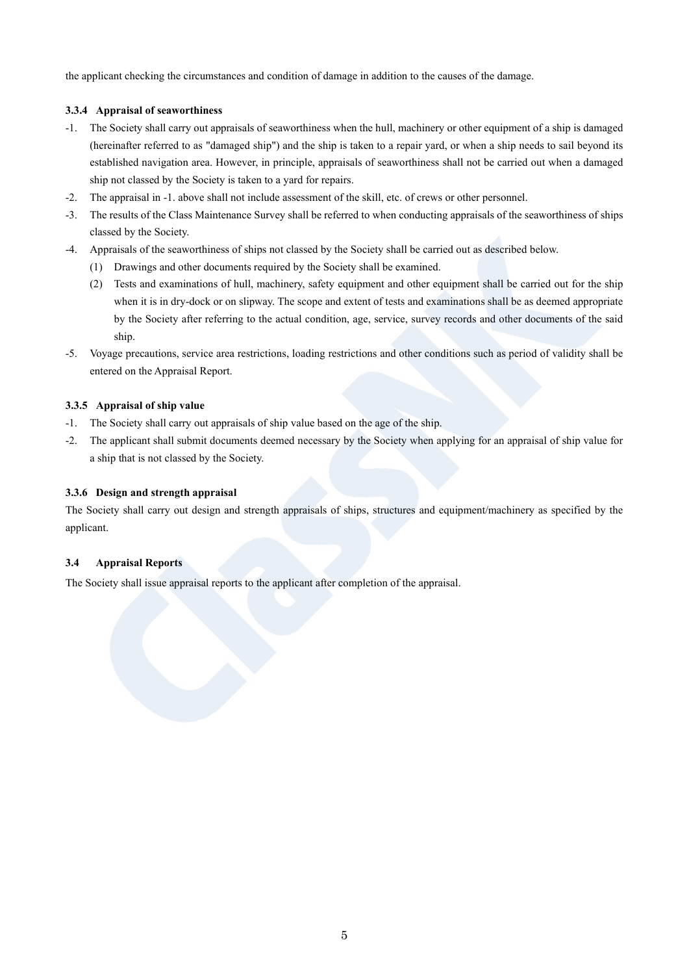the applicant checking the circumstances and condition of damage in addition to the causes of the damage.

## **3.3.4 Appraisal of seaworthiness**

- -1. The Society shall carry out appraisals of seaworthiness when the hull, machinery or other equipment of a ship is damaged (hereinafter referred to as "damaged ship") and the ship is taken to a repair yard, or when a ship needs to sail beyond its established navigation area. However, in principle, appraisals of seaworthiness shall not be carried out when a damaged ship not classed by the Society is taken to a yard for repairs.
- -2. The appraisal in -1. above shall not include assessment of the skill, etc. of crews or other personnel.
- -3. The results of the Class Maintenance Survey shall be referred to when conducting appraisals of the seaworthiness of ships classed by the Society.
- -4. Appraisals of the seaworthiness of ships not classed by the Society shall be carried out as described below.
	- (1) Drawings and other documents required by the Society shall be examined.
	- (2) Tests and examinations of hull, machinery, safety equipment and other equipment shall be carried out for the ship when it is in dry-dock or on slipway. The scope and extent of tests and examinations shall be as deemed appropriate by the Society after referring to the actual condition, age, service, survey records and other documents of the said ship.
- -5. Voyage precautions, service area restrictions, loading restrictions and other conditions such as period of validity shall be entered on the Appraisal Report.

## **3.3.5 Appraisal of ship value**

- -1. The Society shall carry out appraisals of ship value based on the age of the ship.
- -2. The applicant shall submit documents deemed necessary by the Society when applying for an appraisal of ship value for a ship that is not classed by the Society.

## **3.3.6 Design and strength appraisal**

The Society shall carry out design and strength appraisals of ships, structures and equipment/machinery as specified by the applicant.

## <span id="page-6-0"></span>**3.4 Appraisal Reports**

The Society shall issue appraisal reports to the applicant after completion of the appraisal.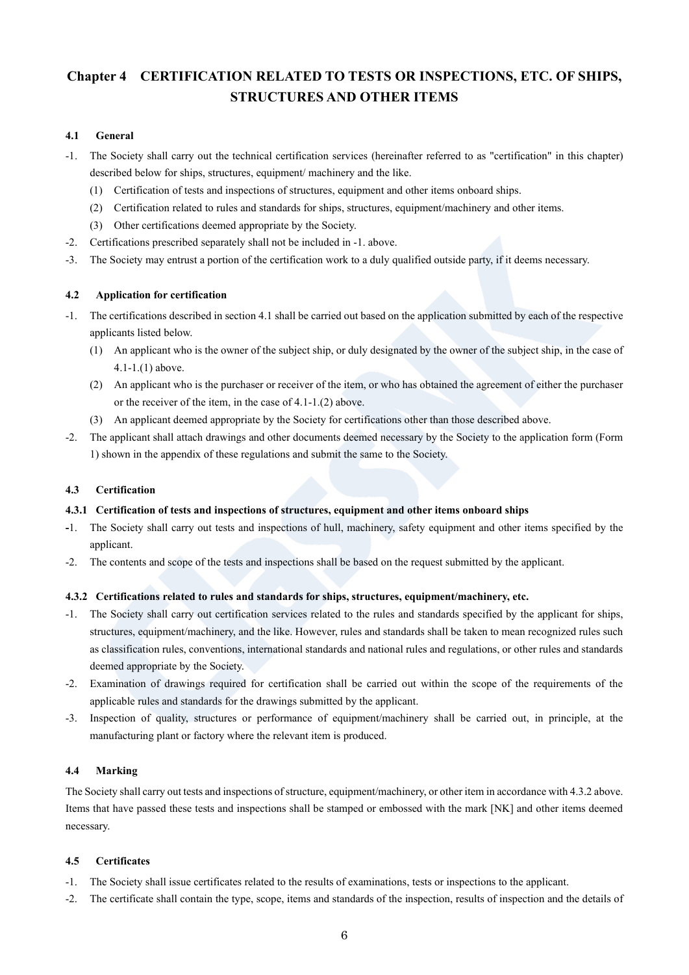# <span id="page-7-0"></span>**Chapter 4 CERTIFICATION RELATED TO TESTS OR INSPECTIONS, ETC. OF SHIPS, STRUCTURES AND OTHER ITEMS**

## <span id="page-7-1"></span>**4.1 General**

- -1. The Society shall carry out the technical certification services (hereinafter referred to as "certification" in this chapter) described below for ships, structures, equipment/ machinery and the like.
	- (1) Certification of tests and inspections of structures, equipment and other items onboard ships.
	- (2) Certification related to rules and standards for ships, structures, equipment/machinery and other items.
	- (3) Other certifications deemed appropriate by the Society.
- -2. Certifications prescribed separately shall not be included in -1. above.
- -3. The Society may entrust a portion of the certification work to a duly qualified outside party, if it deems necessary.

## <span id="page-7-2"></span>**4.2 Application for certification**

- -1. The certifications described in section 4.1 shall be carried out based on the application submitted by each of the respective applicants listed below.
	- (1) An applicant who is the owner of the subject ship, or duly designated by the owner of the subject ship, in the case of 4.1-1.(1) above.
	- (2) An applicant who is the purchaser or receiver of the item, or who has obtained the agreement of either the purchaser or the receiver of the item, in the case of 4.1-1.(2) above.
	- (3) An applicant deemed appropriate by the Society for certifications other than those described above.
- -2. The applicant shall attach drawings and other documents deemed necessary by the Society to the application form (Form 1) shown in the appendix of these regulations and submit the same to the Society.

## <span id="page-7-3"></span>**4.3 Certification**

## **4.3.1 Certification of tests and inspections of structures, equipment and other items onboard ships**

- **-**1. The Society shall carry out tests and inspections of hull, machinery, safety equipment and other items specified by the applicant.
- -2. The contents and scope of the tests and inspections shall be based on the request submitted by the applicant.

## **4.3.2 Certifications related to rules and standards for ships, structures, equipment/machinery, etc.**

- -1. The Society shall carry out certification services related to the rules and standards specified by the applicant for ships, structures, equipment/machinery, and the like. However, rules and standards shall be taken to mean recognized rules such as classification rules, conventions, international standards and national rules and regulations, or other rules and standards deemed appropriate by the Society.
- -2. Examination of drawings required for certification shall be carried out within the scope of the requirements of the applicable rules and standards for the drawings submitted by the applicant.
- -3. Inspection of quality, structures or performance of equipment/machinery shall be carried out, in principle, at the manufacturing plant or factory where the relevant item is produced.

## <span id="page-7-4"></span>**4.4 Marking**

The Society shall carry out tests and inspections of structure, equipment/machinery, or other item in accordance with 4.3.2 above. Items that have passed these tests and inspections shall be stamped or embossed with the mark [NK] and other items deemed necessary.

## <span id="page-7-5"></span>**4.5 Certificates**

- -1. The Society shall issue certificates related to the results of examinations, tests or inspections to the applicant.
- -2. The certificate shall contain the type, scope, items and standards of the inspection, results of inspection and the details of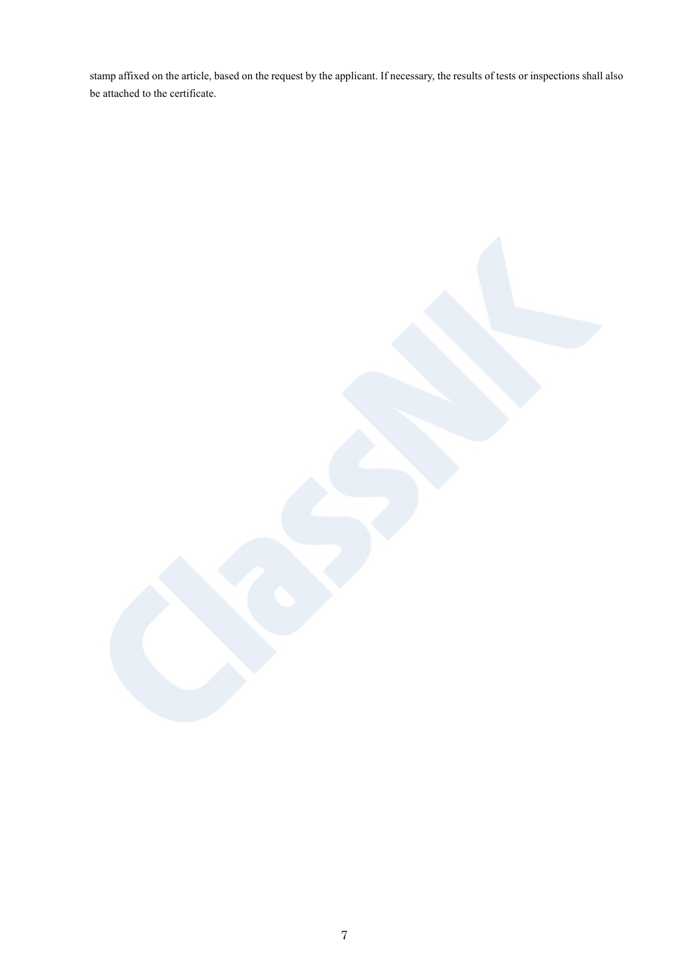stamp affixed on the article, based on the request by the applicant. If necessary, the results of tests or inspections shall also be attached to the certificate.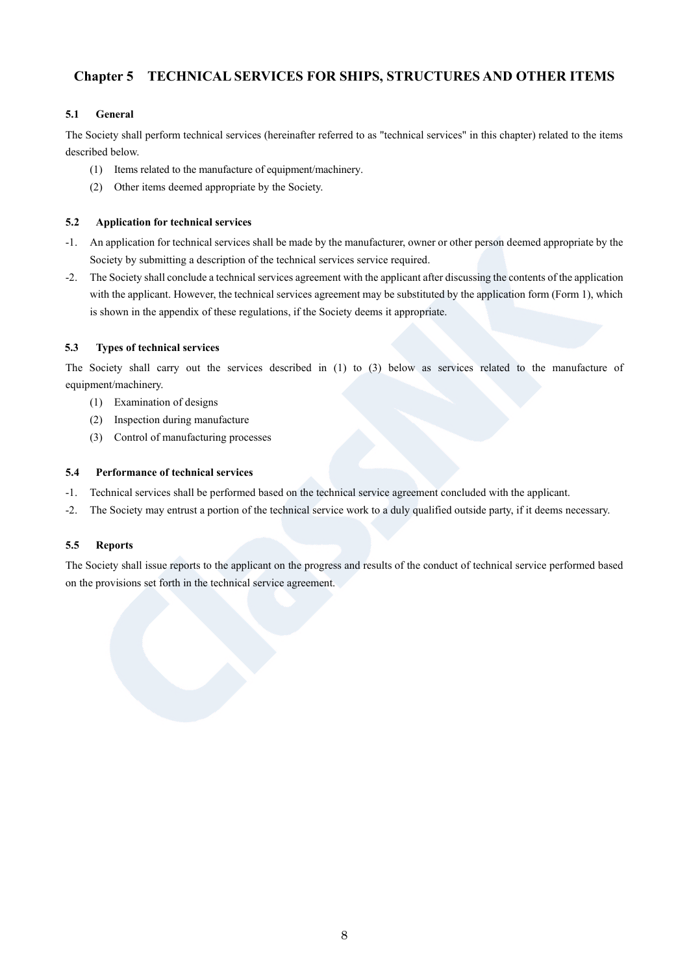## <span id="page-9-0"></span>**Chapter 5 TECHNICAL SERVICES FOR SHIPS, STRUCTURES AND OTHER ITEMS**

## <span id="page-9-1"></span>**5.1 General**

The Society shall perform technical services (hereinafter referred to as "technical services" in this chapter) related to the items described below.

- (1) Items related to the manufacture of equipment/machinery.
- (2) Other items deemed appropriate by the Society.

## <span id="page-9-2"></span>**5.2 Application for technical services**

- -1. An application for technical services shall be made by the manufacturer, owner or other person deemed appropriate by the Society by submitting a description of the technical services service required.
- -2. The Society shall conclude a technical services agreement with the applicant after discussing the contents of the application with the applicant. However, the technical services agreement may be substituted by the application form (Form 1), which is shown in the appendix of these regulations, if the Society deems it appropriate.

## <span id="page-9-3"></span>**5.3 Types of technical services**

The Society shall carry out the services described in (1) to (3) below as services related to the manufacture of equipment/machinery.

- (1) Examination of designs
- (2) Inspection during manufacture
- (3) Control of manufacturing processes

## <span id="page-9-4"></span>**5.4 Performance of technical services**

- -1. Technical services shall be performed based on the technical service agreement concluded with the applicant.
- -2. The Society may entrust a portion of the technical service work to a duly qualified outside party, if it deems necessary.

## <span id="page-9-5"></span>**5.5 Reports**

The Society shall issue reports to the applicant on the progress and results of the conduct of technical service performed based on the provisions set forth in the technical service agreement.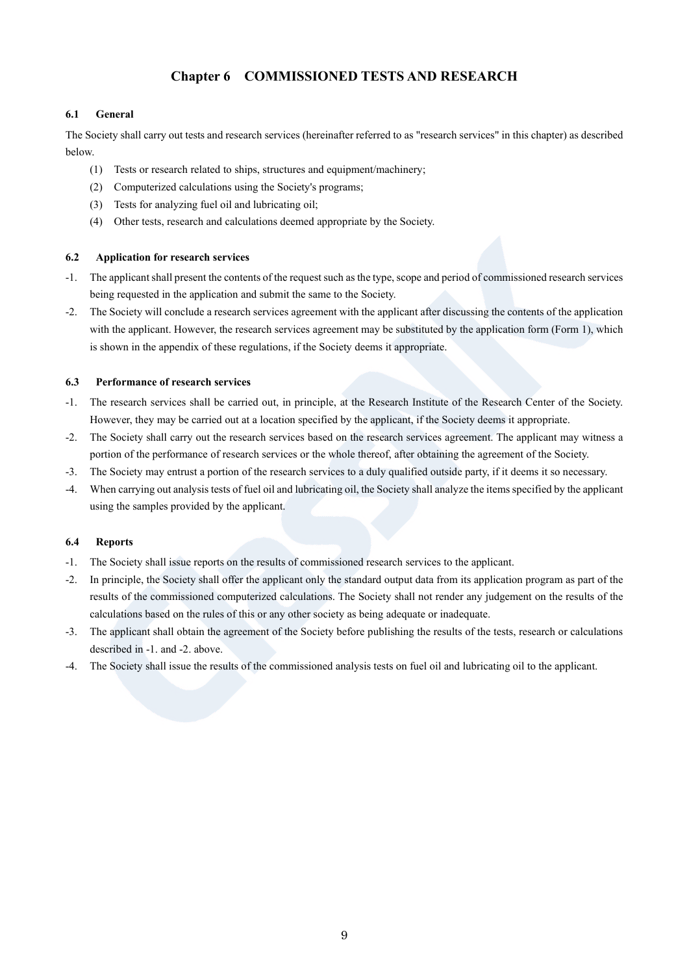## **Chapter 6 COMMISSIONED TESTS AND RESEARCH**

## <span id="page-10-1"></span><span id="page-10-0"></span>**6.1 General**

The Society shall carry out tests and research services (hereinafter referred to as "research services" in this chapter) as described below.

- (1) Tests or research related to ships, structures and equipment/machinery;
- (2) Computerized calculations using the Society's programs;
- (3) Tests for analyzing fuel oil and lubricating oil;
- (4) Other tests, research and calculations deemed appropriate by the Society.

## <span id="page-10-2"></span>**6.2 Application for research services**

- -1. The applicant shall present the contents of the request such as the type, scope and period of commissioned research services being requested in the application and submit the same to the Society.
- -2. The Society will conclude a research services agreement with the applicant after discussing the contents of the application with the applicant. However, the research services agreement may be substituted by the application form (Form 1), which is shown in the appendix of these regulations, if the Society deems it appropriate.

## <span id="page-10-3"></span>**6.3 Performance of research services**

- -1. The research services shall be carried out, in principle, at the Research Institute of the Research Center of the Society. However, they may be carried out at a location specified by the applicant, if the Society deems it appropriate.
- -2. The Society shall carry out the research services based on the research services agreement. The applicant may witness a portion of the performance of research services or the whole thereof, after obtaining the agreement of the Society.
- -3. The Society may entrust a portion of the research services to a duly qualified outside party, if it deems it so necessary.
- -4. When carrying out analysis tests of fuel oil and lubricating oil, the Society shall analyze the items specified by the applicant using the samples provided by the applicant.

## <span id="page-10-4"></span>**6.4 Reports**

- -1. The Society shall issue reports on the results of commissioned research services to the applicant.
- -2. In principle, the Society shall offer the applicant only the standard output data from its application program as part of the results of the commissioned computerized calculations. The Society shall not render any judgement on the results of the calculations based on the rules of this or any other society as being adequate or inadequate.
- -3. The applicant shall obtain the agreement of the Society before publishing the results of the tests, research or calculations described in -1. and -2. above.
- -4. The Society shall issue the results of the commissioned analysis tests on fuel oil and lubricating oil to the applicant.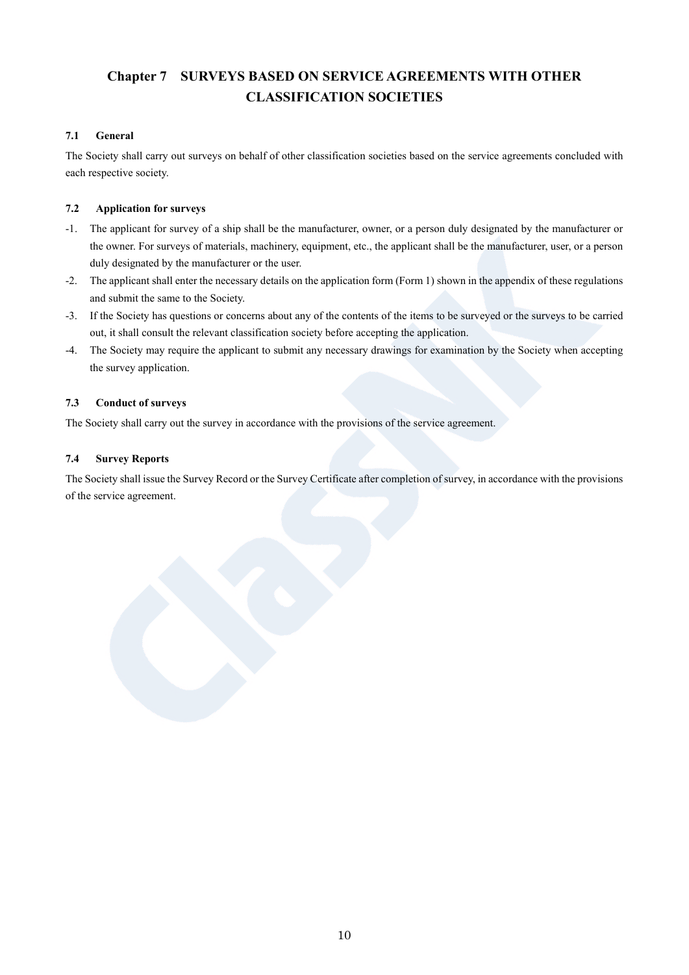# <span id="page-11-0"></span>**Chapter 7 SURVEYS BASED ON SERVICE AGREEMENTS WITH OTHER CLASSIFICATION SOCIETIES**

## <span id="page-11-1"></span>**7.1 General**

The Society shall carry out surveys on behalf of other classification societies based on the service agreements concluded with each respective society.

## <span id="page-11-2"></span>**7.2 Application for surveys**

- -1. The applicant for survey of a ship shall be the manufacturer, owner, or a person duly designated by the manufacturer or the owner. For surveys of materials, machinery, equipment, etc., the applicant shall be the manufacturer, user, or a person duly designated by the manufacturer or the user.
- -2. The applicant shall enter the necessary details on the application form (Form 1) shown in the appendix of these regulations and submit the same to the Society.
- -3. If the Society has questions or concerns about any of the contents of the items to be surveyed or the surveys to be carried out, it shall consult the relevant classification society before accepting the application.
- -4. The Society may require the applicant to submit any necessary drawings for examination by the Society when accepting the survey application.

## <span id="page-11-3"></span>**7.3 Conduct of surveys**

The Society shall carry out the survey in accordance with the provisions of the service agreement.

## <span id="page-11-4"></span>**7.4 Survey Reports**

The Society shall issue the Survey Record or the Survey Certificate after completion of survey, in accordance with the provisions of the service agreement.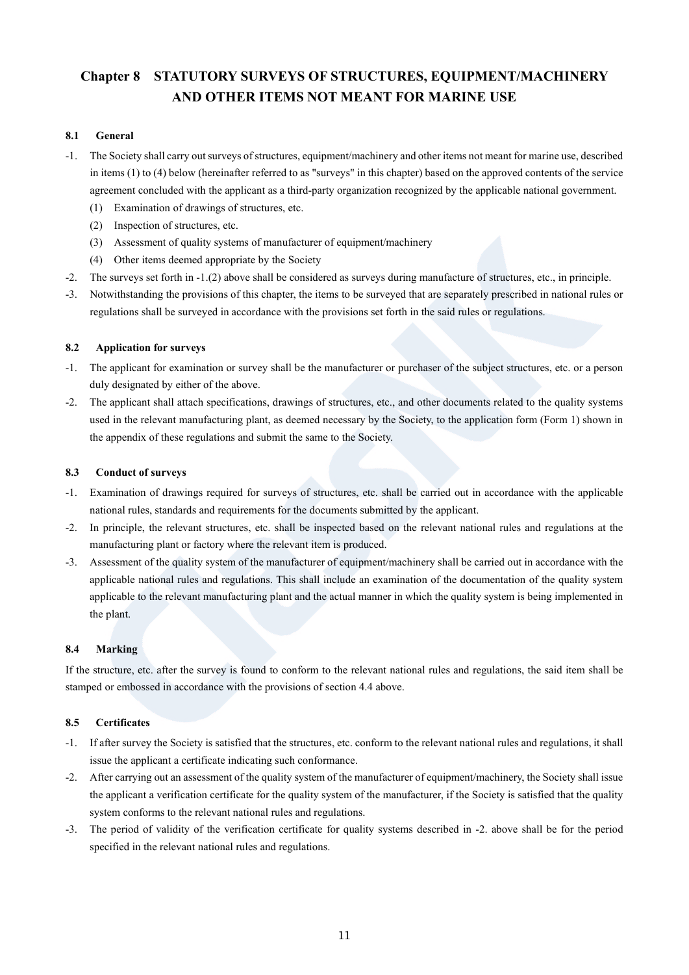# <span id="page-12-0"></span>**Chapter 8 STATUTORY SURVEYS OF STRUCTURES, EQUIPMENT/MACHINERY AND OTHER ITEMS NOT MEANT FOR MARINE USE**

## <span id="page-12-1"></span>**8.1 General**

- -1. The Society shall carry out surveys of structures, equipment/machinery and other items not meant for marine use, described in items (1) to (4) below (hereinafter referred to as "surveys" in this chapter) based on the approved contents of the service agreement concluded with the applicant as a third-party organization recognized by the applicable national government.
	- (1) Examination of drawings of structures, etc.
	- (2) Inspection of structures, etc.
	- (3) Assessment of quality systems of manufacturer of equipment/machinery
	- (4) Other items deemed appropriate by the Society
- -2. The surveys set forth in -1.(2) above shall be considered as surveys during manufacture of structures, etc., in principle.
- -3. Notwithstanding the provisions of this chapter, the items to be surveyed that are separately prescribed in national rules or regulations shall be surveyed in accordance with the provisions set forth in the said rules or regulations.

## <span id="page-12-2"></span>**8.2 Application for surveys**

- -1. The applicant for examination or survey shall be the manufacturer or purchaser of the subject structures, etc. or a person duly designated by either of the above.
- -2. The applicant shall attach specifications, drawings of structures, etc., and other documents related to the quality systems used in the relevant manufacturing plant, as deemed necessary by the Society, to the application form (Form 1) shown in the appendix of these regulations and submit the same to the Society.

## <span id="page-12-3"></span>**8.3 Conduct of surveys**

- -1. Examination of drawings required for surveys of structures, etc. shall be carried out in accordance with the applicable national rules, standards and requirements for the documents submitted by the applicant.
- -2. In principle, the relevant structures, etc. shall be inspected based on the relevant national rules and regulations at the manufacturing plant or factory where the relevant item is produced.
- -3. Assessment of the quality system of the manufacturer of equipment/machinery shall be carried out in accordance with the applicable national rules and regulations. This shall include an examination of the documentation of the quality system applicable to the relevant manufacturing plant and the actual manner in which the quality system is being implemented in the plant.

## <span id="page-12-4"></span>**8.4 Marking**

If the structure, etc. after the survey is found to conform to the relevant national rules and regulations, the said item shall be stamped or embossed in accordance with the provisions of section 4.4 above.

## <span id="page-12-5"></span>**8.5 Certificates**

- -1. If after survey the Society is satisfied that the structures, etc. conform to the relevant national rules and regulations, it shall issue the applicant a certificate indicating such conformance.
- -2. After carrying out an assessment of the quality system of the manufacturer of equipment/machinery, the Society shall issue the applicant a verification certificate for the quality system of the manufacturer, if the Society is satisfied that the quality system conforms to the relevant national rules and regulations.
- -3. The period of validity of the verification certificate for quality systems described in -2. above shall be for the period specified in the relevant national rules and regulations.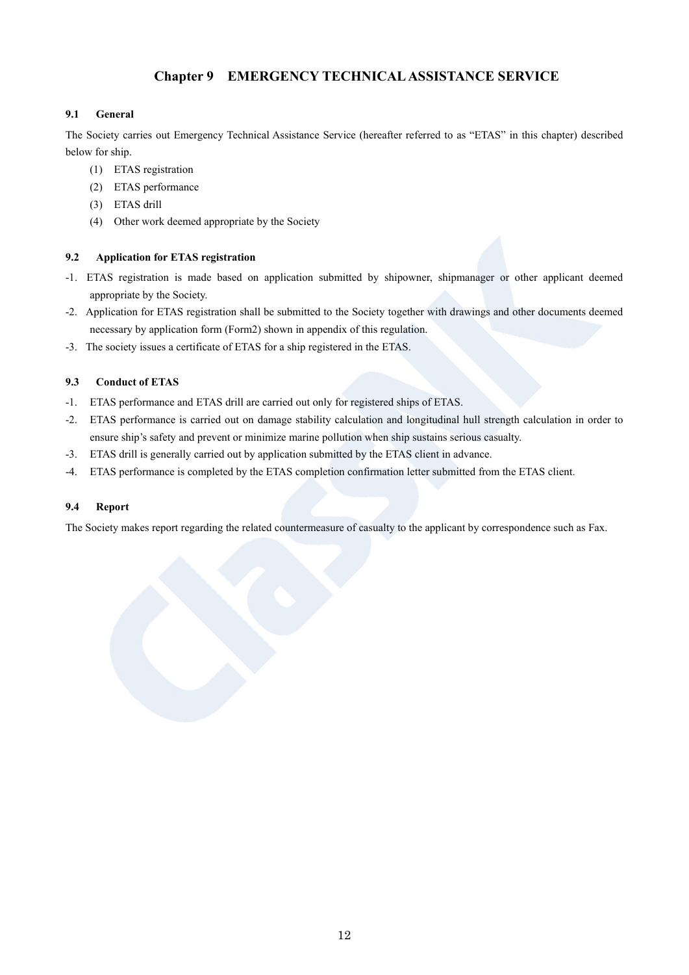## **Chapter 9 EMERGENCY TECHNICAL ASSISTANCE SERVICE**

## <span id="page-13-1"></span><span id="page-13-0"></span>**9.1 General**

The Society carries out Emergency Technical Assistance Service (hereafter referred to as "ETAS" in this chapter) described below for ship.

- (1) ETAS registration
- (2) ETAS performance
- (3) ETAS drill
- (4) Other work deemed appropriate by the Society

## <span id="page-13-2"></span>**9.2 Application for ETAS registration**

- -1. ETAS registration is made based on application submitted by shipowner, shipmanager or other applicant deemed appropriate by the Society.
- -2. Application for ETAS registration shall be submitted to the Society together with drawings and other documents deemed necessary by application form (Form2) shown in appendix of this regulation.
- -3. The society issues a certificate of ETAS for a ship registered in the ETAS.

## <span id="page-13-3"></span>**9.3 Conduct of ETAS**

- -1. ETAS performance and ETAS drill are carried out only for registered ships of ETAS.
- -2. ETAS performance is carried out on damage stability calculation and longitudinal hull strength calculation in order to ensure ship's safety and prevent or minimize marine pollution when ship sustains serious casualty.
- -3. ETAS drill is generally carried out by application submitted by the ETAS client in advance.
- -4. ETAS performance is completed by the ETAS completion confirmation letter submitted from the ETAS client.

## <span id="page-13-4"></span>**9.4 Report**

The Society makes report regarding the related countermeasure of casualty to the applicant by correspondence such as Fax.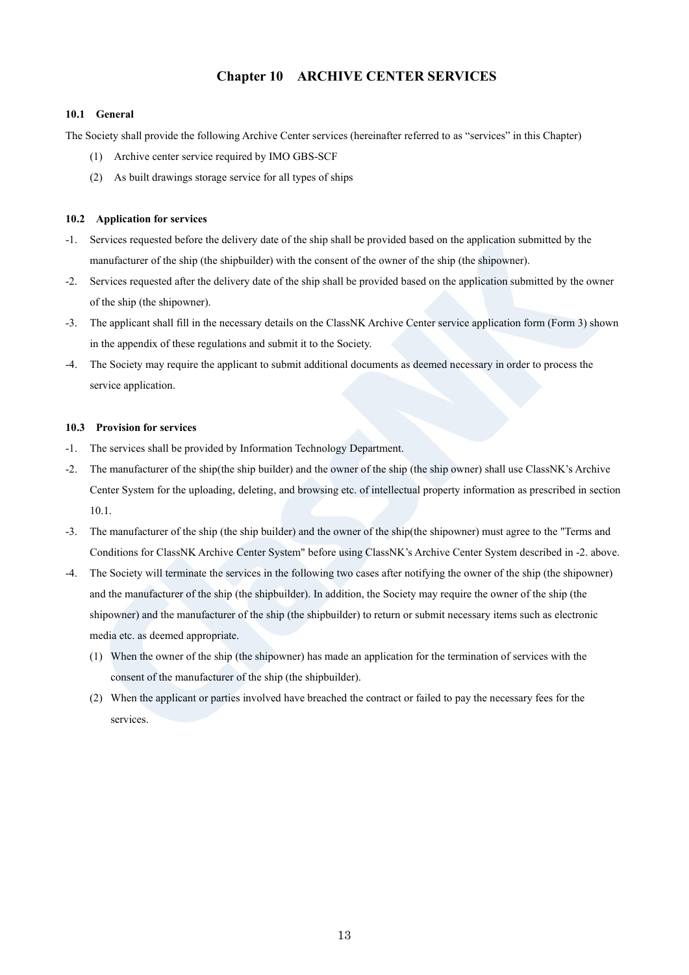## **Chapter 10 ARCHIVE CENTER SERVICES**

#### <span id="page-14-1"></span><span id="page-14-0"></span>**10.1 General**

The Society shall provide the following Archive Center services (hereinafter referred to as "services" in this Chapter)

- (1) Archive center service required by IMO GBS-SCF
- (2) As built drawings storage service for all types of ships

#### <span id="page-14-2"></span>**10.2 Application for services**

- -1. Services requested before the delivery date of the ship shall be provided based on the application submitted by the manufacturer of the ship (the shipbuilder) with the consent of the owner of the ship (the shipowner).
- -2. Services requested after the delivery date of the ship shall be provided based on the application submitted by the owner of the ship (the shipowner).
- -3. The applicant shall fill in the necessary details on the ClassNK Archive Center service application form (Form 3) shown in the appendix of these regulations and submit it to the Society.
- -4. The Society may require the applicant to submit additional documents as deemed necessary in order to process the service application.

#### <span id="page-14-3"></span>**10.3 Provision for services**

- -1. The services shall be provided by Information Technology Department.
- -2. The manufacturer of the ship(the ship builder) and the owner of the ship (the ship owner) shall use ClassNK's Archive Center System for the uploading, deleting, and browsing etc. of intellectual property information as prescribed in section 10.1.
- -3. The manufacturer of the ship (the ship builder) and the owner of the ship(the shipowner) must agree to the "Terms and Conditions for ClassNK Archive Center System" before using ClassNK's Archive Center System described in -2. above.
- -4. The Society will terminate the services in the following two cases after notifying the owner of the ship (the shipowner) and the manufacturer of the ship (the shipbuilder). In addition, the Society may require the owner of the ship (the shipowner) and the manufacturer of the ship (the shipbuilder) to return or submit necessary items such as electronic media etc. as deemed appropriate.
	- (1) When the owner of the ship (the shipowner) has made an application for the termination of services with the consent of the manufacturer of the ship (the shipbuilder).
	- (2) When the applicant or parties involved have breached the contract or failed to pay the necessary fees for the services.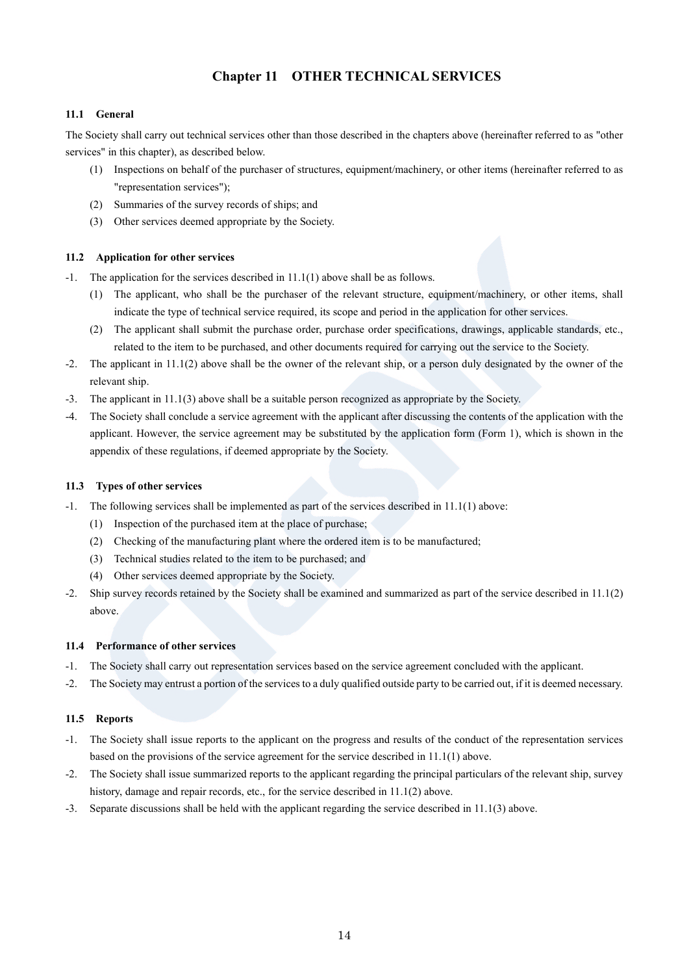## **Chapter 11 OTHER TECHNICAL SERVICES**

## <span id="page-15-1"></span><span id="page-15-0"></span>**11.1 General**

The Society shall carry out technical services other than those described in the chapters above (hereinafter referred to as "other services" in this chapter), as described below.

- (1) Inspections on behalf of the purchaser of structures, equipment/machinery, or other items (hereinafter referred to as "representation services");
- (2) Summaries of the survey records of ships; and
- (3) Other services deemed appropriate by the Society.

## <span id="page-15-2"></span>**11.2 Application for other services**

- -1. The application for the services described in 11.1(1) above shall be as follows.
	- (1) The applicant, who shall be the purchaser of the relevant structure, equipment/machinery, or other items, shall indicate the type of technical service required, its scope and period in the application for other services.
	- (2) The applicant shall submit the purchase order, purchase order specifications, drawings, applicable standards, etc., related to the item to be purchased, and other documents required for carrying out the service to the Society.
- -2. The applicant in 11.1(2) above shall be the owner of the relevant ship, or a person duly designated by the owner of the relevant ship.
- -3. The applicant in 11.1(3) above shall be a suitable person recognized as appropriate by the Society.
- -4. The Society shall conclude a service agreement with the applicant after discussing the contents of the application with the applicant. However, the service agreement may be substituted by the application form (Form 1), which is shown in the appendix of these regulations, if deemed appropriate by the Society.

## <span id="page-15-3"></span>**11.3 Types of other services**

- -1. The following services shall be implemented as part of the services described in 11.1(1) above:
	- (1) Inspection of the purchased item at the place of purchase;
	- (2) Checking of the manufacturing plant where the ordered item is to be manufactured;
	- (3) Technical studies related to the item to be purchased; and
	- (4) Other services deemed appropriate by the Society.
- -2. Ship survey records retained by the Society shall be examined and summarized as part of the service described in 11.1(2) above.

## <span id="page-15-4"></span>**11.4 Performance of other services**

- -1. The Society shall carry out representation services based on the service agreement concluded with the applicant.
- -2. The Society may entrust a portion of the services to a duly qualified outside party to be carried out, if it is deemed necessary.

## <span id="page-15-5"></span>**11.5 Reports**

- -1. The Society shall issue reports to the applicant on the progress and results of the conduct of the representation services based on the provisions of the service agreement for the service described in 11.1(1) above.
- -2. The Society shall issue summarized reports to the applicant regarding the principal particulars of the relevant ship, survey history, damage and repair records, etc., for the service described in 11.1(2) above.
- -3. Separate discussions shall be held with the applicant regarding the service described in 11.1(3) above.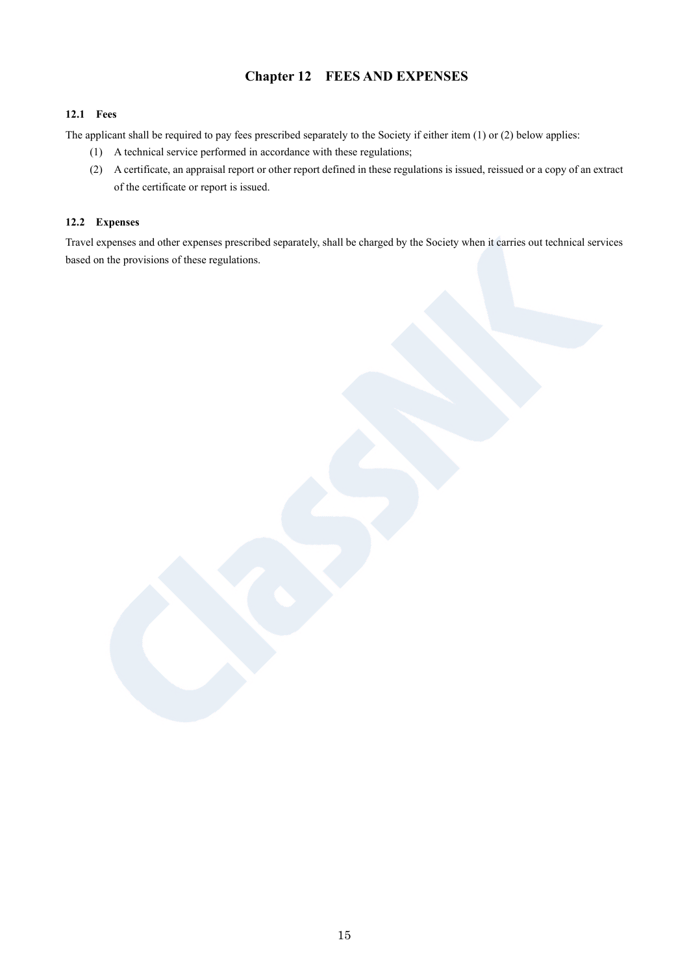## **Chapter 12 FEES AND EXPENSES**

## <span id="page-16-1"></span><span id="page-16-0"></span>**12.1 Fees**

The applicant shall be required to pay fees prescribed separately to the Society if either item (1) or (2) below applies:

- (1) A technical service performed in accordance with these regulations;
- (2) A certificate, an appraisal report or other report defined in these regulations is issued, reissued or a copy of an extract of the certificate or report is issued.

## <span id="page-16-2"></span>**12.2 Expenses**

Travel expenses and other expenses prescribed separately, shall be charged by the Society when it carries out technical services based on the provisions of these regulations.

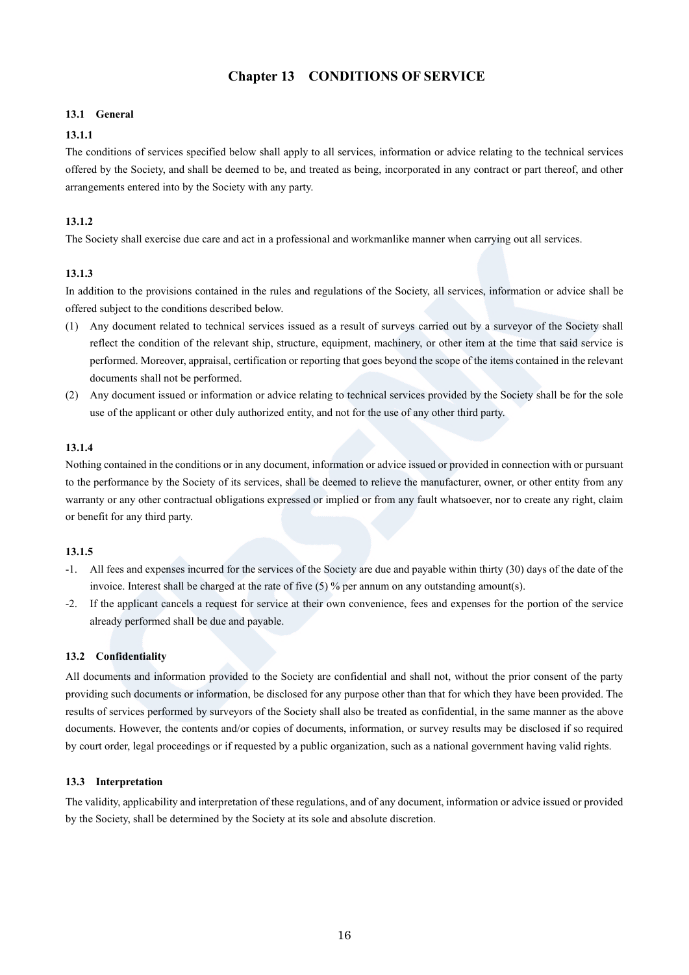## **Chapter 13 CONDITIONS OF SERVICE**

## <span id="page-17-1"></span><span id="page-17-0"></span>**13.1 General**

## **13.1.1**

The conditions of services specified below shall apply to all services, information or advice relating to the technical services offered by the Society, and shall be deemed to be, and treated as being, incorporated in any contract or part thereof, and other arrangements entered into by the Society with any party.

## **13.1.2**

The Society shall exercise due care and act in a professional and workmanlike manner when carrying out all services.

## **13.1.3**

In addition to the provisions contained in the rules and regulations of the Society, all services, information or advice shall be offered subject to the conditions described below.

- (1) Any document related to technical services issued as a result of surveys carried out by a surveyor of the Society shall reflect the condition of the relevant ship, structure, equipment, machinery, or other item at the time that said service is performed. Moreover, appraisal, certification or reporting that goes beyond the scope of the items contained in the relevant documents shall not be performed.
- (2) Any document issued or information or advice relating to technical services provided by the Society shall be for the sole use of the applicant or other duly authorized entity, and not for the use of any other third party.

## **13.1.4**

Nothing contained in the conditions or in any document, information or advice issued or provided in connection with or pursuant to the performance by the Society of its services, shall be deemed to relieve the manufacturer, owner, or other entity from any warranty or any other contractual obligations expressed or implied or from any fault whatsoever, nor to create any right, claim or benefit for any third party.

## **13.1.5**

- -1. All fees and expenses incurred for the services of the Society are due and payable within thirty (30) days of the date of the invoice. Interest shall be charged at the rate of five (5) % per annum on any outstanding amount(s).
- -2. If the applicant cancels a request for service at their own convenience, fees and expenses for the portion of the service already performed shall be due and payable.

## <span id="page-17-2"></span>**13.2 Confidentiality**

All documents and information provided to the Society are confidential and shall not, without the prior consent of the party providing such documents or information, be disclosed for any purpose other than that for which they have been provided. The results of services performed by surveyors of the Society shall also be treated as confidential, in the same manner as the above documents. However, the contents and/or copies of documents, information, or survey results may be disclosed if so required by court order, legal proceedings or if requested by a public organization, such as a national government having valid rights.

## <span id="page-17-3"></span>**13.3 Interpretation**

The validity, applicability and interpretation of these regulations, and of any document, information or advice issued or provided by the Society, shall be determined by the Society at its sole and absolute discretion.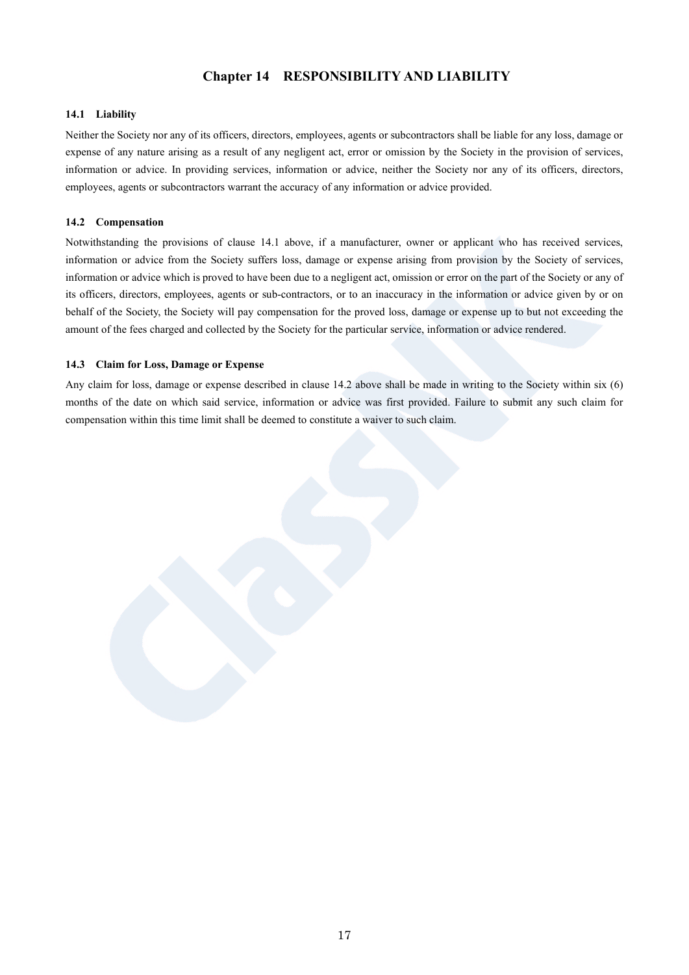## **Chapter 14 RESPONSIBILITY AND LIABILITY**

## <span id="page-18-1"></span><span id="page-18-0"></span>**14.1 Liability**

Neither the Society nor any of its officers, directors, employees, agents or subcontractors shall be liable for any loss, damage or expense of any nature arising as a result of any negligent act, error or omission by the Society in the provision of services, information or advice. In providing services, information or advice, neither the Society nor any of its officers, directors, employees, agents or subcontractors warrant the accuracy of any information or advice provided.

## <span id="page-18-2"></span>**14.2 Compensation**

Notwithstanding the provisions of clause 14.1 above, if a manufacturer, owner or applicant who has received services, information or advice from the Society suffers loss, damage or expense arising from provision by the Society of services, information or advice which is proved to have been due to a negligent act, omission or error on the part of the Society or any of its officers, directors, employees, agents or sub-contractors, or to an inaccuracy in the information or advice given by or on behalf of the Society, the Society will pay compensation for the proved loss, damage or expense up to but not exceeding the amount of the fees charged and collected by the Society for the particular service, information or advice rendered.

#### <span id="page-18-3"></span>**14.3 Claim for Loss, Damage or Expense**

Any claim for loss, damage or expense described in clause 14.2 above shall be made in writing to the Society within six (6) months of the date on which said service, information or advice was first provided. Failure to submit any such claim for compensation within this time limit shall be deemed to constitute a waiver to such claim.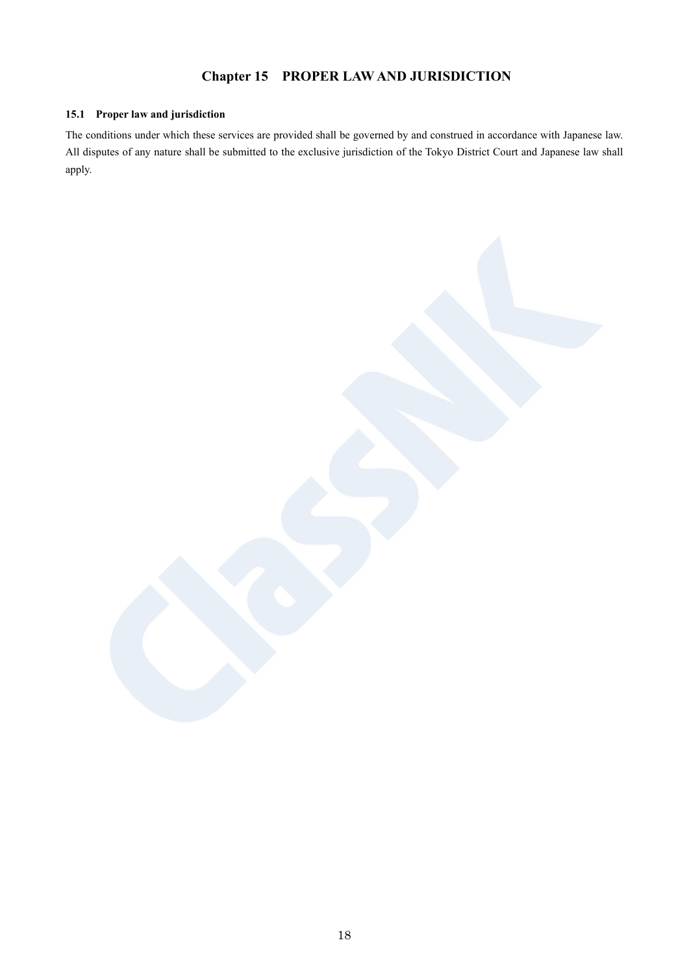## **Chapter 15 PROPER LAW AND JURISDICTION**

## <span id="page-19-1"></span><span id="page-19-0"></span>**15.1 Proper law and jurisdiction**

The conditions under which these services are provided shall be governed by and construed in accordance with Japanese law. All disputes of any nature shall be submitted to the exclusive jurisdiction of the Tokyo District Court and Japanese law shall apply.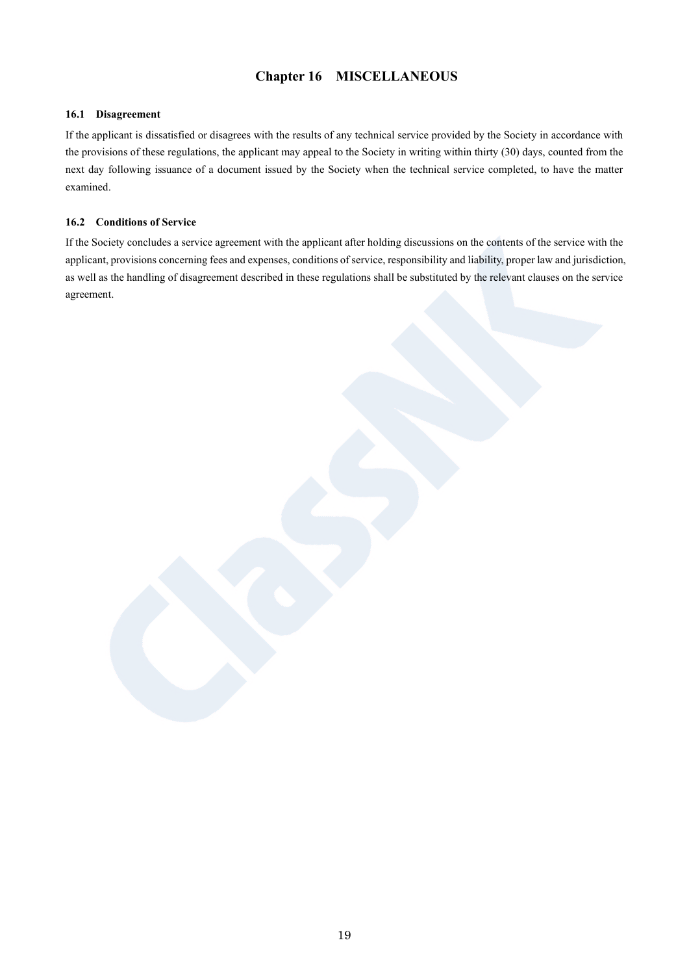# **Chapter 16 MISCELLANEOUS**

## <span id="page-20-1"></span><span id="page-20-0"></span>**16.1 Disagreement**

If the applicant is dissatisfied or disagrees with the results of any technical service provided by the Society in accordance with the provisions of these regulations, the applicant may appeal to the Society in writing within thirty (30) days, counted from the next day following issuance of a document issued by the Society when the technical service completed, to have the matter examined.

## <span id="page-20-2"></span>**16.2 Conditions of Service**

If the Society concludes a service agreement with the applicant after holding discussions on the contents of the service with the applicant, provisions concerning fees and expenses, conditions of service, responsibility and liability, proper law and jurisdiction, as well as the handling of disagreement described in these regulations shall be substituted by the relevant clauses on the service agreement.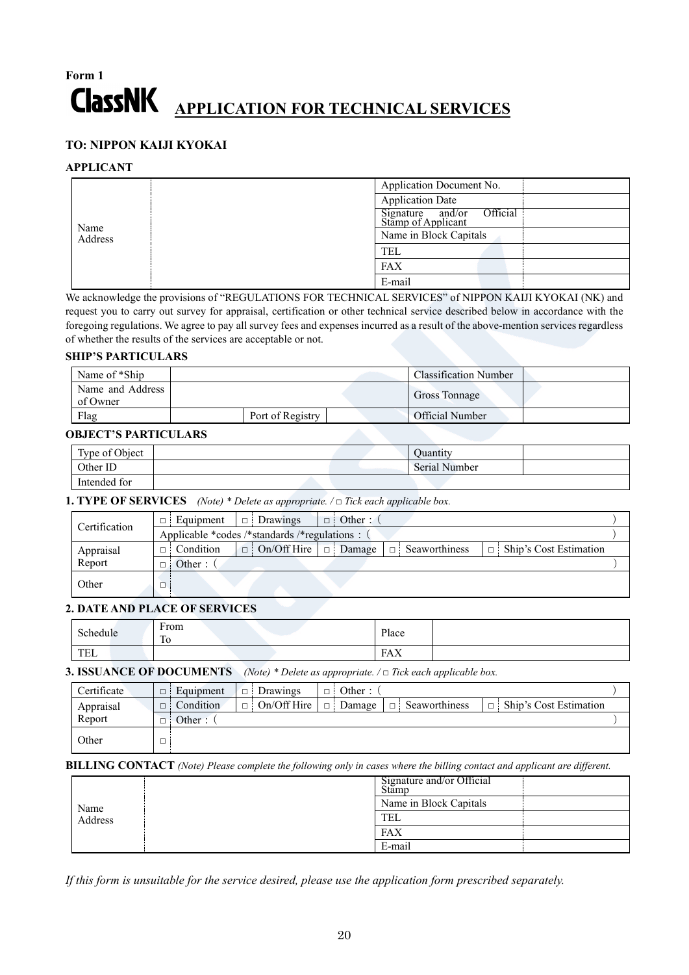# **Form 1 ClassNK APPLICATION FOR TECHNICAL SERVICES**

## **TO: NIPPON KAIJI KYOKAI**

## **APPLICANT**

|         | Application Document No.                           |
|---------|----------------------------------------------------|
|         | <b>Application Date</b>                            |
| Name    | Official<br>Signature and/or<br>Stamp of Applicant |
| Address | Name in Block Capitals                             |
|         | TEL                                                |
|         | FAX                                                |
|         | E-mail                                             |

We acknowledge the provisions of "REGULATIONS FOR TECHNICAL SERVICES" of NIPPON KAIJI KYOKAI (NK) and request you to carry out survey for appraisal, certification or other technical service described below in accordance with the foregoing regulations. We agree to pay all survey fees and expenses incurred as a result of the above-mention services regardless of whether the results of the services are acceptable or not.

## **SHIP'S PARTICULARS**

| Name of *Ship                |                  | <b>Classification Number</b> |
|------------------------------|------------------|------------------------------|
| Name and Address<br>of Owner |                  | Gross Tonnage                |
| Flag                         | Port of Registry | Official Number              |

## **OBJECT'S PARTICULARS**

| Type of Object |  | Quantity             |  |
|----------------|--|----------------------|--|
| Other ID       |  | <b>Serial Number</b> |  |
| Intended for   |  |                      |  |

## **1. TYPE OF SERVICES** *(Note) \* Delete as appropriate. / □ Tick each applicable box.*

| Certification | $\Box$                                        | Equipment $\Box$ Drawings        | $\Box$ Other : |                      |                               |  |
|---------------|-----------------------------------------------|----------------------------------|----------------|----------------------|-------------------------------|--|
|               | Applicable *codes /*standards /*regulations : |                                  |                |                      |                               |  |
| Appraisal     | Condition                                     | $\Box$ On/Off Hire $\Box$ Damage |                | $\Box$ Seaworthiness | $\Box$ Ship's Cost Estimation |  |
| Report        | Other:                                        |                                  |                |                      |                               |  |
| Other         | ◻                                             |                                  |                |                      |                               |  |

## **2. DATE AND PLACE OF SERVICES**

| Schedule            | Ē<br>From<br>m<br>10 | Place      |  |
|---------------------|----------------------|------------|--|
| <b>THEF</b><br>ा एक |                      | <b>FAX</b> |  |

## **3. ISSUANCE OF DOCUMENTS** *(Note) \* Delete as appropriate. / □ Tick each applicable box.*

| Certificate | $\Box$ | Equipment |        | Drawings    | $\Box$ | Other:                                                                    |  |
|-------------|--------|-----------|--------|-------------|--------|---------------------------------------------------------------------------|--|
| Appraisal   |        | Condition | $\Box$ | On/Off Hire |        | $\Box$ Ship's Cost Estimation<br>Seaworthiness<br>$\Box$ Damage<br>$\Box$ |  |
| Report      |        | Other :   |        |             |        |                                                                           |  |
| Other       | ப      |           |        |             |        |                                                                           |  |

## **BILLING CONTACT** *(Note) Please complete the following only in cases where the billing contact and applicant are different.*

| Name<br>Address | Signature and/or Official<br>Stamp |
|-----------------|------------------------------------|
|                 | Name in Block Capitals             |
|                 | <b>TEL</b>                         |
|                 | FAX                                |
|                 | E-mail                             |

*If this form is unsuitable for the service desired, please use the application form prescribed separately.*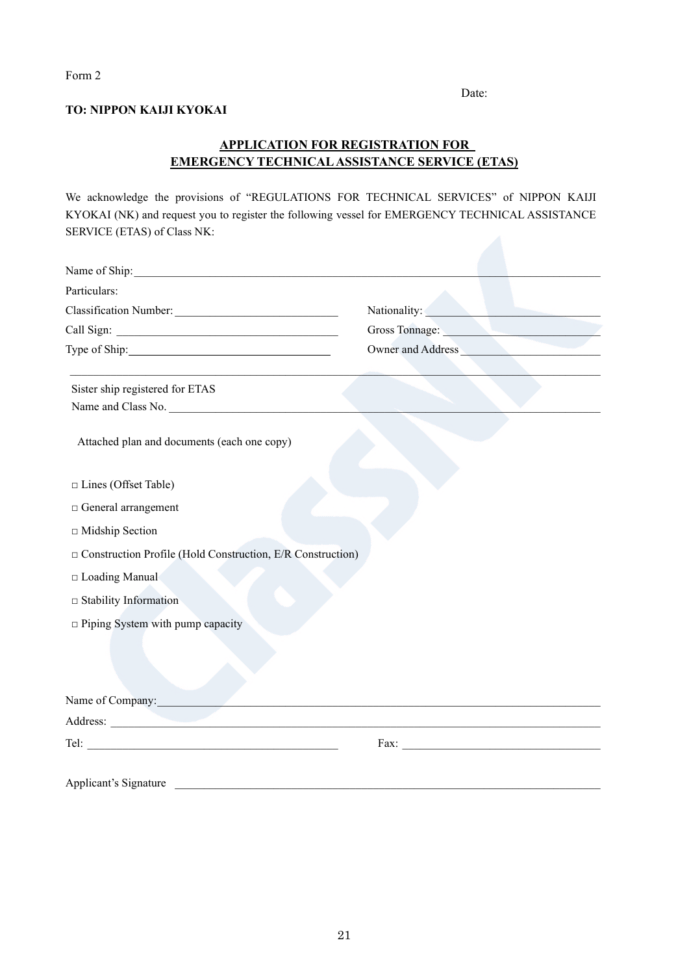## Date:

## **TO: NIPPON KAIJI KYOKAI**

## **APPLICATION FOR REGISTRATION FOR EMERGENCY TECHNICAL ASSISTANCE SERVICE (ETAS)**

We acknowledge the provisions of "REGULATIONS FOR TECHNICAL SERVICES" of NIPPON KAIJI KYOKAI (NK) and request you to register the following vessel for EMERGENCY TECHNICAL ASSISTANCE SERVICE (ETAS) of Class NK:

| Name of Ship:                                                                                                                                                                                                                  |                   |
|--------------------------------------------------------------------------------------------------------------------------------------------------------------------------------------------------------------------------------|-------------------|
| Particulars:                                                                                                                                                                                                                   |                   |
|                                                                                                                                                                                                                                | Nationality:      |
| Call Sign:                                                                                                                                                                                                                     | Gross Tonnage:    |
|                                                                                                                                                                                                                                | Owner and Address |
| Sister ship registered for ETAS                                                                                                                                                                                                |                   |
| Name and Class No.                                                                                                                                                                                                             |                   |
| Attached plan and documents (each one copy)                                                                                                                                                                                    |                   |
| □ Lines (Offset Table)                                                                                                                                                                                                         |                   |
| $\Box$ General arrangement                                                                                                                                                                                                     |                   |
| □ Midship Section                                                                                                                                                                                                              |                   |
| □ Construction Profile (Hold Construction, E/R Construction)                                                                                                                                                                   |                   |
| □ Loading Manual                                                                                                                                                                                                               |                   |
| $\hfill \Box$ Stability Information                                                                                                                                                                                            |                   |
| $\Box$ Piping System with pump capacity                                                                                                                                                                                        |                   |
|                                                                                                                                                                                                                                |                   |
| Name of Company:                                                                                                                                                                                                               |                   |
| Address: No. 1986. The Committee of the Committee of the Committee of the Committee of the Committee of the Committee of the Committee of the Committee of the Committee of the Committee of the Committee of the Committee of |                   |
|                                                                                                                                                                                                                                |                   |
| Applicant's Signature                                                                                                                                                                                                          |                   |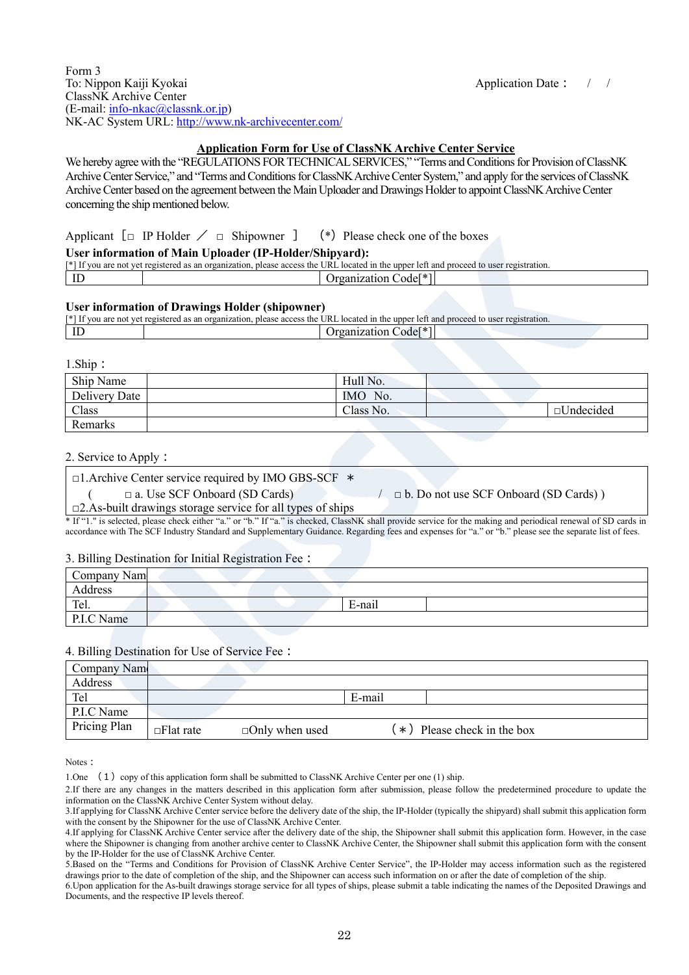## **Application Form for Use of ClassNK Archive Center Service**

We hereby agree with the "REGULATIONS FOR TECHNICAL SERVICES," "Terms and Conditions for Provision of ClassNK Archive Center Service," and "Terms and Conditions for ClassNK Archive Center System," and apply for the services of ClassNK Archive Center based on the agreement between the Main Uploader and Drawings Holder to appoint ClassNK Archive Center concerning the ship mentioned below.

## Applicant  $\Box$  IP Holder  $\angle$   $\Box$  Shipowner  $\Box$  (\*) Please check one of the boxes

## **User information of Main Uploader (IP-Holder/Shipyard):**

| $f*1f$ .     | please access the URL            |
|--------------|----------------------------------|
| $T$ $\alpha$ | t registered as an organization. |
| . noʻ        | . located in the upper           |
| are          | r left and proceed to user       |
| VOL.         | registration.                    |
| ᄔ            | <b>ГМ-</b><br>. Codel *          |

## **User information of Drawings Holder (shipowner)**

| $F*1$ T $f$ | If you are not vet registered as an organization, please access the URL located in the upper left and proceed to user registration. |  |
|-------------|-------------------------------------------------------------------------------------------------------------------------------------|--|
|             | $\Omega$ odel $\gamma$<br>zanızatıon                                                                                                |  |

1.Ship:

| Ship Name     | Hull No.  |                  |
|---------------|-----------|------------------|
| Delivery Date | IMO No.   |                  |
| Class         | Class No. | $\Box$ Undecided |
| Remarks       |           |                  |

#### 2. Service to Apply:

#### □1.Archive Center service required by IMO GBS-SCF \*

```
 ( □ a. Use SCF Onboard (SD Cards) / □ b. Do not use SCF Onboard (SD Cards) )
```
□2.As-built drawings storage service for all types of ships

If "1." is selected, please check either "a." or "b." If "a." is checked, ClassNK shall provide service for the making and periodical renewal of SD cards in accordance with The SCF Industry Standard and Supplementary Guidance. Regarding fees and expenses for "a." or "b." please see the separate list of fees.

#### 3. Billing Destination for Initial Registration Fee:

| Company Nam |        |  |
|-------------|--------|--|
| Address     |        |  |
| Tel.        | E-nail |  |
| P.I.C Name  |        |  |

#### 4. Billing Destination for Use of Service Fee:

| Company Nam  |                  |                       |                               |  |
|--------------|------------------|-----------------------|-------------------------------|--|
| Address      |                  |                       |                               |  |
| Tel          |                  |                       | E-mail                        |  |
| P.I.C Name   |                  |                       |                               |  |
| Pricing Plan | $\Box$ Flat rate | $\Box$ Only when used | $(*)$ Please check in the box |  |

Notes<sup></sup>

<sup>1.</sup>One (1) copy of this application form shall be submitted to ClassNK Archive Center per one (1) ship.

<sup>2.</sup>If there are any changes in the matters described in this application form after submission, please follow the predetermined procedure to update the information on the ClassNK Archive Center System without delay.

<sup>3.</sup>If applying for ClassNK Archive Center service before the delivery date of the ship, the IP-Holder (typically the shipyard) shall submit this application form with the consent by the Shipowner for the use of ClassNK Archive Center.

<sup>4.</sup>If applying for ClassNK Archive Center service after the delivery date of the ship, the Shipowner shall submit this application form. However, in the case where the Shipowner is changing from another archive center to ClassNK Archive Center, the Shipowner shall submit this application form with the consent by the IP-Holder for the use of ClassNK Archive Center.

<sup>5.</sup>Based on the "Terms and Conditions for Provision of ClassNK Archive Center Service", the IP-Holder may access information such as the registered drawings prior to the date of completion of the ship, and the Shipowner can access such information on or after the date of completion of the ship.

<sup>6.</sup>Upon application for the As-built drawings storage service for all types of ships, please submit a table indicating the names of the Deposited Drawings and Documents, and the respective IP levels thereof.